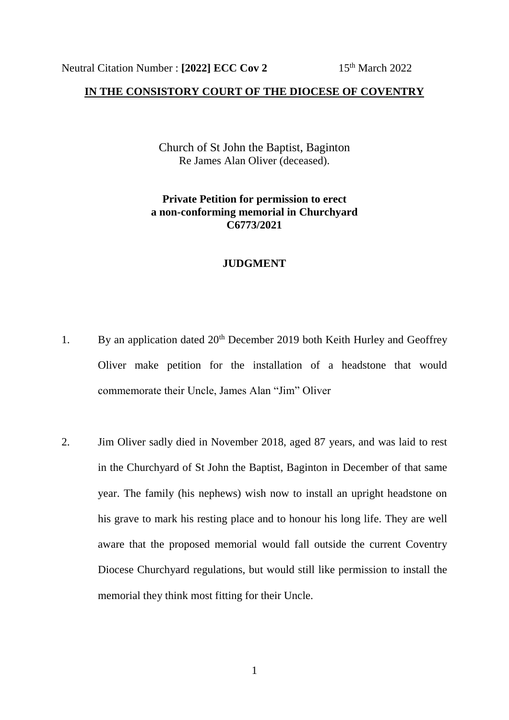## **IN THE CONSISTORY COURT OF THE DIOCESE OF COVENTRY**

Church of St John the Baptist, Baginton Re James Alan Oliver (deceased).

## **Private Petition for permission to erect a non-conforming memorial in Churchyard C6773/2021**

## **JUDGMENT**

- 1. By an application dated 20<sup>th</sup> December 2019 both Keith Hurley and Geoffrey Oliver make petition for the installation of a headstone that would commemorate their Uncle, James Alan "Jim" Oliver
- 2. Jim Oliver sadly died in November 2018, aged 87 years, and was laid to rest in the Churchyard of St John the Baptist, Baginton in December of that same year. The family (his nephews) wish now to install an upright headstone on his grave to mark his resting place and to honour his long life. They are well aware that the proposed memorial would fall outside the current Coventry Diocese Churchyard regulations, but would still like permission to install the memorial they think most fitting for their Uncle.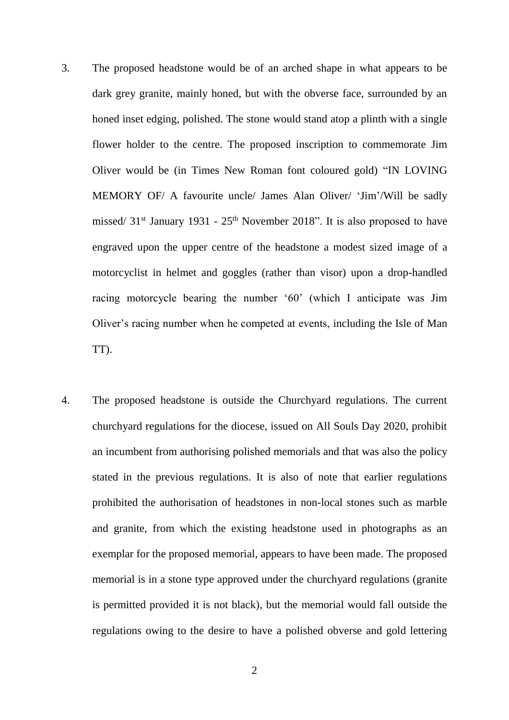- 3. The proposed headstone would be of an arched shape in what appears to be dark grey granite, mainly honed, but with the obverse face, surrounded by an honed inset edging, polished. The stone would stand atop a plinth with a single flower holder to the centre. The proposed inscription to commemorate Jim Oliver would be (in Times New Roman font coloured gold) "IN LOVING MEMORY OF/ A favourite uncle/ James Alan Oliver/ 'Jim'/Will be sadly missed/ 31<sup>st</sup> January 1931 - 25<sup>th</sup> November 2018". It is also proposed to have engraved upon the upper centre of the headstone a modest sized image of a motorcyclist in helmet and goggles (rather than visor) upon a drop-handled racing motorcycle bearing the number '60' (which I anticipate was Jim Oliver's racing number when he competed at events, including the Isle of Man TT).
- 4. The proposed headstone is outside the Churchyard regulations. The current churchyard regulations for the diocese, issued on All Souls Day 2020, prohibit an incumbent from authorising polished memorials and that was also the policy stated in the previous regulations. It is also of note that earlier regulations prohibited the authorisation of headstones in non-local stones such as marble and granite, from which the existing headstone used in photographs as an exemplar for the proposed memorial, appears to have been made. The proposed memorial is in a stone type approved under the churchyard regulations (granite is permitted provided it is not black), but the memorial would fall outside the regulations owing to the desire to have a polished obverse and gold lettering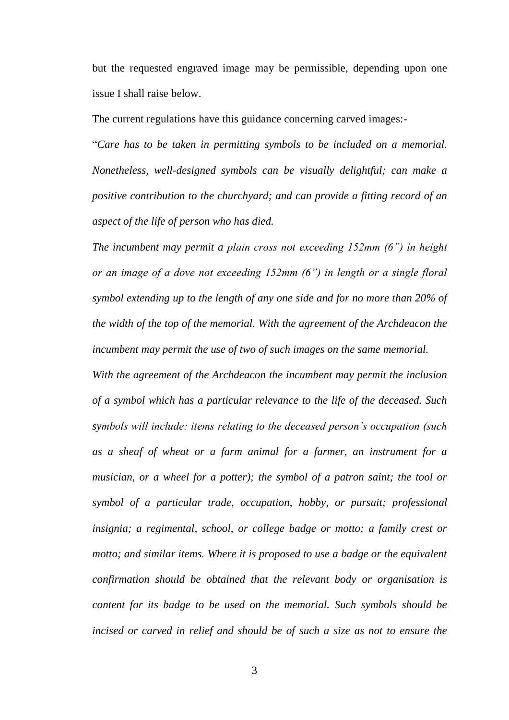but the requested engraved image may be permissible, depending upon one issue I shall raise below.

The current regulations have this guidance concerning carved images:-

"*Care has to be taken in permitting symbols to be included on a memorial. Nonetheless, well-designed symbols can be visually delightful; can make a positive contribution to the churchyard; and can provide a fitting record of an aspect of the life of person who has died.* 

*The incumbent may permit a plain cross not exceeding 152mm (6") in height or an image of a dove not exceeding 152mm (6") in length or a single floral symbol extending up to the length of any one side and for no more than 20% of the width of the top of the memorial. With the agreement of the Archdeacon the incumbent may permit the use of two of such images on the same memorial.* 

*With the agreement of the Archdeacon the incumbent may permit the inclusion of a symbol which has a particular relevance to the life of the deceased. Such symbols will include: items relating to the deceased person's occupation (such as a sheaf of wheat or a farm animal for a farmer, an instrument for a musician, or a wheel for a potter); the symbol of a patron saint; the tool or symbol of a particular trade, occupation, hobby, or pursuit; professional insignia; a regimental, school, or college badge or motto; a family crest or motto; and similar items. Where it is proposed to use a badge or the equivalent confirmation should be obtained that the relevant body or organisation is content for its badge to be used on the memorial. Such symbols should be incised or carved in relief and should be of such a size as not to ensure the*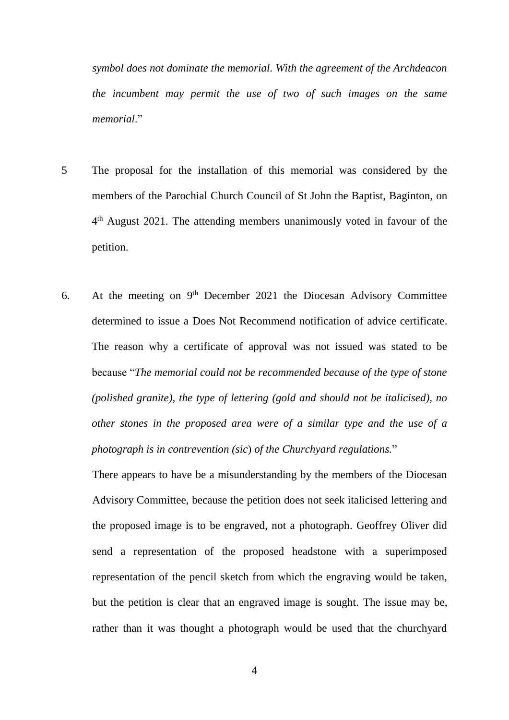*symbol does not dominate the memorial. With the agreement of the Archdeacon the incumbent may permit the use of two of such images on the same memorial*."

- 5 The proposal for the installation of this memorial was considered by the members of the Parochial Church Council of St John the Baptist, Baginton, on 4<sup>th</sup> August 2021. The attending members unanimously voted in favour of the petition.
- 6. At the meeting on 9<sup>th</sup> December 2021 the Diocesan Advisory Committee determined to issue a Does Not Recommend notification of advice certificate. The reason why a certificate of approval was not issued was stated to be because "*The memorial could not be recommended because of the type of stone (polished granite), the type of lettering (gold and should not be italicised), no other stones in the proposed area were of a similar type and the use of a photograph is in contrevention (sic*) *of the Churchyard regulations.*"

There appears to have be a misunderstanding by the members of the Diocesan Advisory Committee, because the petition does not seek italicised lettering and the proposed image is to be engraved, not a photograph. Geoffrey Oliver did send a representation of the proposed headstone with a superimposed representation of the pencil sketch from which the engraving would be taken, but the petition is clear that an engraved image is sought. The issue may be, rather than it was thought a photograph would be used that the churchyard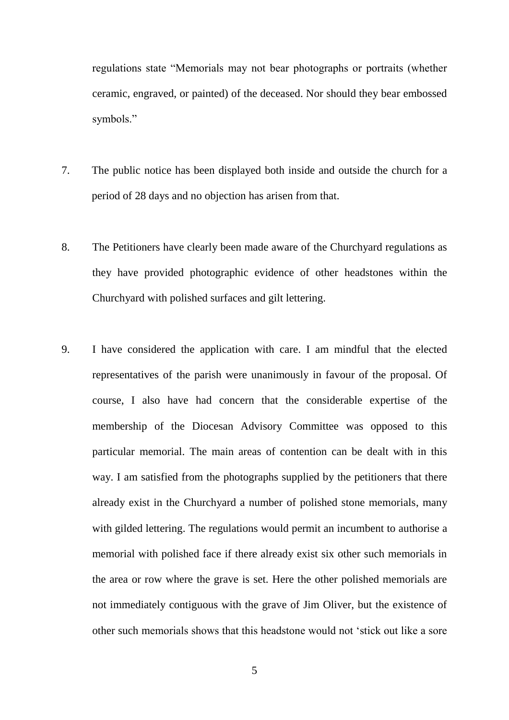regulations state "Memorials may not bear photographs or portraits (whether ceramic, engraved, or painted) of the deceased. Nor should they bear embossed symbols."

- 7. The public notice has been displayed both inside and outside the church for a period of 28 days and no objection has arisen from that.
- 8. The Petitioners have clearly been made aware of the Churchyard regulations as they have provided photographic evidence of other headstones within the Churchyard with polished surfaces and gilt lettering.
- 9. I have considered the application with care. I am mindful that the elected representatives of the parish were unanimously in favour of the proposal. Of course, I also have had concern that the considerable expertise of the membership of the Diocesan Advisory Committee was opposed to this particular memorial. The main areas of contention can be dealt with in this way. I am satisfied from the photographs supplied by the petitioners that there already exist in the Churchyard a number of polished stone memorials, many with gilded lettering. The regulations would permit an incumbent to authorise a memorial with polished face if there already exist six other such memorials in the area or row where the grave is set. Here the other polished memorials are not immediately contiguous with the grave of Jim Oliver, but the existence of other such memorials shows that this headstone would not 'stick out like a sore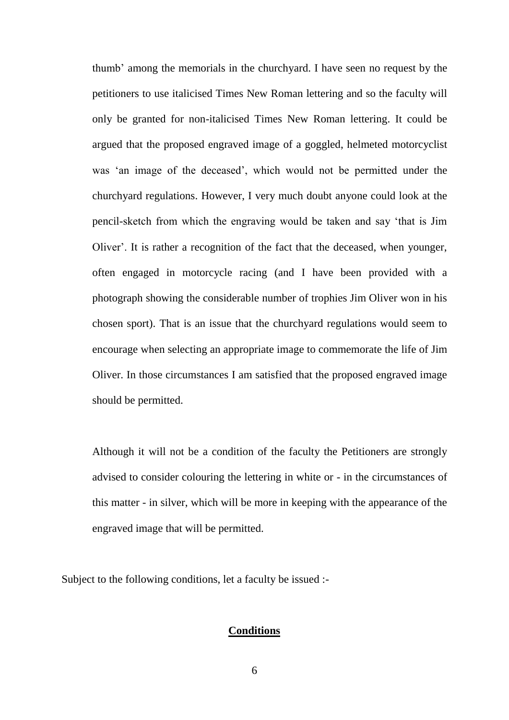thumb' among the memorials in the churchyard. I have seen no request by the petitioners to use italicised Times New Roman lettering and so the faculty will only be granted for non-italicised Times New Roman lettering. It could be argued that the proposed engraved image of a goggled, helmeted motorcyclist was 'an image of the deceased', which would not be permitted under the churchyard regulations. However, I very much doubt anyone could look at the pencil-sketch from which the engraving would be taken and say 'that is Jim Oliver'. It is rather a recognition of the fact that the deceased, when younger, often engaged in motorcycle racing (and I have been provided with a photograph showing the considerable number of trophies Jim Oliver won in his chosen sport). That is an issue that the churchyard regulations would seem to encourage when selecting an appropriate image to commemorate the life of Jim Oliver. In those circumstances I am satisfied that the proposed engraved image should be permitted.

Although it will not be a condition of the faculty the Petitioners are strongly advised to consider colouring the lettering in white or - in the circumstances of this matter - in silver, which will be more in keeping with the appearance of the engraved image that will be permitted.

Subject to the following conditions, let a faculty be issued :-

## **Conditions**